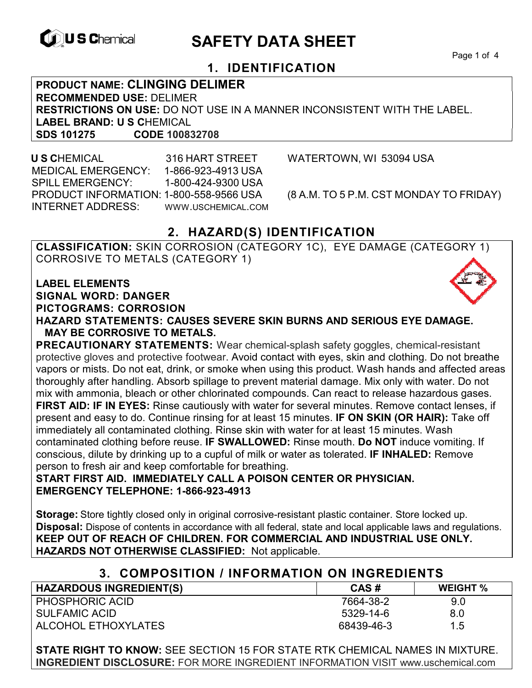

# **EXAGREM** SAFETY DATA SHEET

Page 1 of 4

## **1. IDENTIFICATION**

**PRODUCT NAME: CLINGING DELIMER RECOMMENDED USE:** DELIMER **RESTRICTIONS ON USE:** DO NOT USE IN A MANNER INCONSISTENT WITH THE LABEL. **LABEL BRAND: U S C**HEMICAL **SDS 101275 CODE 100832708**

 **U S C**HEMICAL 316 HART STREET WATERTOWN, WI 53094 USA MEDICAL EMERGENCY: 1-866-923-4913 USA SPILL EMERGENCY: 1-800-424-9300 USA PRODUCT INFORMATION: 1-800-558-9566 USA (8 A.M. TO 5 P.M. CST MONDAY TO FRIDAY) INTERNET ADDRESS: WWW.USCHEMICAL.COM

## **2. HAZARD(S) IDENTIFICATION**

**CLASSIFICATION:** SKIN CORROSION (CATEGORY 1C), EYE DAMAGE (CATEGORY 1) CORROSIVE TO METALS (CATEGORY 1)

**LABEL ELEMENTS SIGNAL WORD: DANGER PICTOGRAMS: CORROSION**

**HAZARD STATEMENTS: CAUSES SEVERE SKIN BURNS AND SERIOUS EYE DAMAGE. MAY BE CORROSIVE TO METALS.** 

**PRECAUTIONARY STATEMENTS:** Wear chemical-splash safety goggles, chemical-resistant protective gloves and protective footwear. Avoid contact with eyes, skin and clothing. Do not breathe vapors or mists. Do not eat, drink, or smoke when using this product. Wash hands and affected areas thoroughly after handling. Absorb spillage to prevent material damage. Mix only with water. Do not mix with ammonia, bleach or other chlorinated compounds. Can react to release hazardous gases. **FIRST AID: IF IN EYES:** Rinse cautiously with water for several minutes. Remove contact lenses, if present and easy to do. Continue rinsing for at least 15 minutes. **IF ON SKIN (OR HAIR):** Take off immediately all contaminated clothing. Rinse skin with water for at least 15 minutes. Wash contaminated clothing before reuse. **IF SWALLOWED:** Rinse mouth. **Do NOT** induce vomiting. If conscious, dilute by drinking up to a cupful of milk or water as tolerated. **IF INHALED:** Remove person to fresh air and keep comfortable for breathing.

**START FIRST AID. IMMEDIATELY CALL A POISON CENTER OR PHYSICIAN. EMERGENCY TELEPHONE: 1-866-923-4913** 

**Storage:** Store tightly closed only in original corrosive-resistant plastic container. Store locked up. **Disposal:** Dispose of contents in accordance with all federal, state and local applicable laws and regulations. **KEEP OUT OF REACH OF CHILDREN. FOR COMMERCIAL AND INDUSTRIAL USE ONLY. HAZARDS NOT OTHERWISE CLASSIFIED:** Not applicable.

## **3. COMPOSITION / INFORMATION ON INGREDIENTS**

| <b>HAZARDOUS INGREDIENT(S)</b> | CAS#       | <b>WEIGHT %</b> |
|--------------------------------|------------|-----------------|
| <b>PHOSPHORIC ACID</b>         | 7664-38-2  | 9.0             |
| SULFAMIC ACID                  | 5329-14-6  | 8.0             |
| ALCOHOL ETHOXYLATES            | 68439-46-3 | 1.5             |

**STATE RIGHT TO KNOW:** SEE SECTION 15 FOR STATE RTK CHEMICAL NAMES IN MIXTURE. **INGREDIENT DISCLOSURE:** FOR MORE INGREDIENT INFORMATION VISIT www.uschemical.com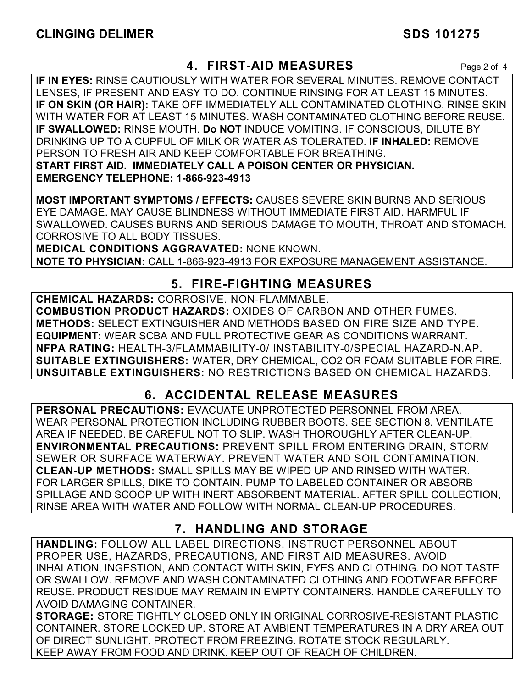## **4. FIRST-AID MEASURES** Page 2 of 4

**IF IN EYES:** RINSE CAUTIOUSLY WITH WATER FOR SEVERAL MINUTES. REMOVE CONTACT LENSES, IF PRESENT AND EASY TO DO. CONTINUE RINSING FOR AT LEAST 15 MINUTES. **IF ON SKIN (OR HAIR):** TAKE OFF IMMEDIATELY ALL CONTAMINATED CLOTHING. RINSE SKIN WITH WATER FOR AT LEAST 15 MINUTES. WASH CONTAMINATED CLOTHING BEFORE REUSE. **IF SWALLOWED:** RINSE MOUTH. **Do NOT** INDUCE VOMITING. IF CONSCIOUS, DILUTE BY DRINKING UP TO A CUPFUL OF MILK OR WATER AS TOLERATED. **IF INHALED:** REMOVE PERSON TO FRESH AIR AND KEEP COMFORTABLE FOR BREATHING. **START FIRST AID. IMMEDIATELY CALL A POISON CENTER OR PHYSICIAN. EMERGENCY TELEPHONE: 1-866-923-4913**

**MOST IMPORTANT SYMPTOMS / EFFECTS:** CAUSES SEVERE SKIN BURNS AND SERIOUS EYE DAMAGE. MAY CAUSE BLINDNESS WITHOUT IMMEDIATE FIRST AID. HARMFUL IF SWALLOWED. CAUSES BURNS AND SERIOUS DAMAGE TO MOUTH, THROAT AND STOMACH. CORROSIVE TO ALL BODY TISSUES.

**MEDICAL CONDITIONS AGGRAVATED:** NONE KNOWN.

**NOTE TO PHYSICIAN:** CALL 1-866-923-4913 FOR EXPOSURE MANAGEMENT ASSISTANCE.

## **5. FIRE-FIGHTING MEASURES**

**CHEMICAL HAZARDS:** CORROSIVE. NON-FLAMMABLE. **COMBUSTION PRODUCT HAZARDS:** OXIDES OF CARBON AND OTHER FUMES. **METHODS:** SELECT EXTINGUISHER AND METHODS BASED ON FIRE SIZE AND TYPE. **EQUIPMENT:** WEAR SCBA AND FULL PROTECTIVE GEAR AS CONDITIONS WARRANT. **NFPA RATING:** HEALTH-3/FLAMMABILITY-0/ INSTABILITY-0/SPECIAL HAZARD-N.AP. **SUITABLE EXTINGUISHERS:** WATER, DRY CHEMICAL, CO2 OR FOAM SUITABLE FOR FIRE. **UNSUITABLE EXTINGUISHERS:** NO RESTRICTIONS BASED ON CHEMICAL HAZARDS.

## **6. ACCIDENTAL RELEASE MEASURES**

**PERSONAL PRECAUTIONS:** EVACUATE UNPROTECTED PERSONNEL FROM AREA. WEAR PERSONAL PROTECTION INCLUDING RUBBER BOOTS. SEE SECTION 8. VENTILATE AREA IF NEEDED. BE CAREFUL NOT TO SLIP. WASH THOROUGHLY AFTER CLEAN-UP. **ENVIRONMENTAL PRECAUTIONS:** PREVENT SPILL FROM ENTERING DRAIN, STORM SEWER OR SURFACE WATERWAY. PREVENT WATER AND SOIL CONTAMINATION. **CLEAN-UP METHODS:** SMALL SPILLS MAY BE WIPED UP AND RINSED WITH WATER. FOR LARGER SPILLS, DIKE TO CONTAIN. PUMP TO LABELED CONTAINER OR ABSORB SPILLAGE AND SCOOP UP WITH INERT ABSORBENT MATERIAL. AFTER SPILL COLLECTION, RINSE AREA WITH WATER AND FOLLOW WITH NORMAL CLEAN-UP PROCEDURES.

## **7. HANDLING AND STORAGE**

**HANDLING:** FOLLOW ALL LABEL DIRECTIONS. INSTRUCT PERSONNEL ABOUT PROPER USE, HAZARDS, PRECAUTIONS, AND FIRST AID MEASURES. AVOID INHALATION, INGESTION, AND CONTACT WITH SKIN, EYES AND CLOTHING. DO NOT TASTE OR SWALLOW. REMOVE AND WASH CONTAMINATED CLOTHING AND FOOTWEAR BEFORE REUSE. PRODUCT RESIDUE MAY REMAIN IN EMPTY CONTAINERS. HANDLE CAREFULLY TO AVOID DAMAGING CONTAINER.

**STORAGE:** STORE TIGHTLY CLOSED ONLY IN ORIGINAL CORROSIVE-RESISTANT PLASTIC CONTAINER. STORE LOCKED UP. STORE AT AMBIENT TEMPERATURES IN A DRY AREA OUT OF DIRECT SUNLIGHT. PROTECT FROM FREEZING. ROTATE STOCK REGULARLY. KEEP AWAY FROM FOOD AND DRINK. KEEP OUT OF REACH OF CHILDREN.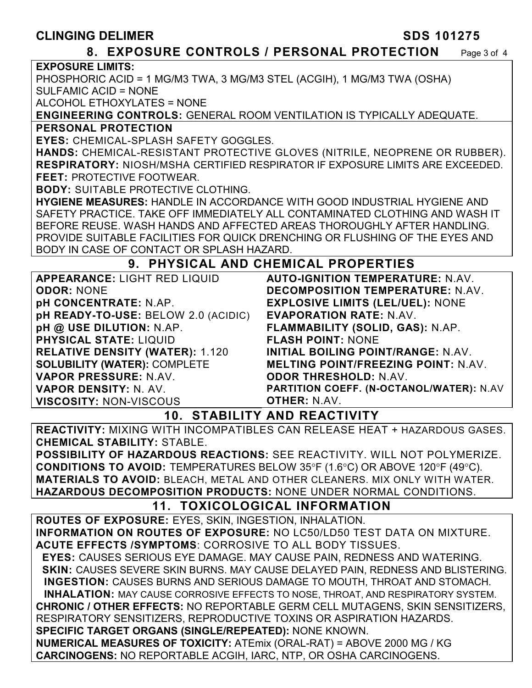## **CLINGING DELIMER SDS 101275**

### **8. EXPOSURE CONTROLS / PERSONAL PROTECTION** Page 3 of 4

**EXPOSURE LIMITS:**

PHOSPHORIC ACID = 1 MG/M3 TWA, 3 MG/M3 STEL (ACGIH), 1 MG/M3 TWA (OSHA)

SULFAMIC ACID = NONE

ALCOHOL ETHOXYLATES = NONE

**ENGINEERING CONTROLS:** GENERAL ROOM VENTILATION IS TYPICALLY ADEQUATE.

#### **PERSONAL PROTECTION**

**EYES:** CHEMICAL-SPLASH SAFETY GOGGLES.

**HANDS:** CHEMICAL-RESISTANT PROTECTIVE GLOVES (NITRILE, NEOPRENE OR RUBBER). **RESPIRATORY:** NIOSH/MSHA CERTIFIED RESPIRATOR IF EXPOSURE LIMITS ARE EXCEEDED. **FEET:** PROTECTIVE FOOTWEAR.

**BODY:** SUITABLE PROTECTIVE CLOTHING.

**HYGIENE MEASURES:** HANDLE IN ACCORDANCE WITH GOOD INDUSTRIAL HYGIENE AND SAFETY PRACTICE. TAKE OFF IMMEDIATELY ALL CONTAMINATED CLOTHING AND WASH IT BEFORE REUSE. WASH HANDS AND AFFECTED AREAS THOROUGHLY AFTER HANDLING. PROVIDE SUITABLE FACILITIES FOR QUICK DRENCHING OR FLUSHING OF THE EYES AND BODY IN CASE OF CONTACT OR SPLASH HAZARD.

## **9. PHYSICAL AND CHEMICAL PROPERTIES**

| <b>DECOMPOSITION TEMPERATURE: N.AV.</b><br><b>ODOR: NONE</b><br><b>EXPLOSIVE LIMITS (LEL/UEL): NONE</b><br><b>pH CONCENTRATE: N.AP.</b><br>pH READY-TO-USE: BELOW 2.0 (ACIDIC)<br><b>EVAPORATION RATE: N.AV.</b><br>pH @ USE DILUTION: N.AP.<br>FLAMMABILITY (SOLID, GAS): N.AP.<br><b>PHYSICAL STATE: LIQUID</b><br><b>FLASH POINT: NONE</b><br><b>RELATIVE DENSITY (WATER): 1.120</b><br>INITIAL BOILING POINT/RANGE: N.AV.<br><b>SOLUBILITY (WATER): COMPLETE</b><br><b>MELTING POINT/FREEZING POINT: N.AV.</b><br>VAPOR PRESSURE: N.AV.<br><b>ODOR THRESHOLD: N.AV.</b> | <b>APPEARANCE: LIGHT RED LIQUID</b> | <b>AUTO-IGNITION TEMPERATURE: N.AV.</b> |
|-----------------------------------------------------------------------------------------------------------------------------------------------------------------------------------------------------------------------------------------------------------------------------------------------------------------------------------------------------------------------------------------------------------------------------------------------------------------------------------------------------------------------------------------------------------------------------|-------------------------------------|-----------------------------------------|
|                                                                                                                                                                                                                                                                                                                                                                                                                                                                                                                                                                             |                                     |                                         |
|                                                                                                                                                                                                                                                                                                                                                                                                                                                                                                                                                                             |                                     |                                         |
|                                                                                                                                                                                                                                                                                                                                                                                                                                                                                                                                                                             |                                     |                                         |
|                                                                                                                                                                                                                                                                                                                                                                                                                                                                                                                                                                             |                                     |                                         |
|                                                                                                                                                                                                                                                                                                                                                                                                                                                                                                                                                                             |                                     |                                         |
|                                                                                                                                                                                                                                                                                                                                                                                                                                                                                                                                                                             |                                     |                                         |
|                                                                                                                                                                                                                                                                                                                                                                                                                                                                                                                                                                             |                                     |                                         |
|                                                                                                                                                                                                                                                                                                                                                                                                                                                                                                                                                                             |                                     |                                         |
| PARTITION COEFF. (N-OCTANOL/WATER): N.AV<br>VAPOR DENSITY: N. AV.                                                                                                                                                                                                                                                                                                                                                                                                                                                                                                           |                                     |                                         |
| <b>OTHER: N.AV.</b><br><b>VISCOSITY: NON-VISCOUS</b>                                                                                                                                                                                                                                                                                                                                                                                                                                                                                                                        |                                     |                                         |

## **10. STABILITY AND REACTIVITY**

**REACTIVITY:** MIXING WITH INCOMPATIBLES CAN RELEASE HEAT + HAZARDOUS GASES. **CHEMICAL STABILITY:** STABLE.

**POSSIBILITY OF HAZARDOUS REACTIONS:** SEE REACTIVITY. WILL NOT POLYMERIZE. **CONDITIONS TO AVOID:** TEMPERATURES BELOW 35°F (1.6°C) OR ABOVE 120°F (49°C). **MATERIALS TO AVOID:** BLEACH, METAL AND OTHER CLEANERS. MIX ONLY WITH WATER. **HAZARDOUS DECOMPOSITION PRODUCTS:** NONE UNDER NORMAL CONDITIONS.

## **11. TOXICOLOGICAL INFORMATION**

**ROUTES OF EXPOSURE:** EYES, SKIN, INGESTION, INHALATION. **INFORMATION ON ROUTES OF EXPOSURE:** NO LC50/LD50 TEST DATA ON MIXTURE. **ACUTE EFFECTS /SYMPTOMS**: CORROSIVE TO ALL BODY TISSUES.  **EYES:** CAUSES SERIOUS EYE DAMAGE. MAY CAUSE PAIN, REDNESS AND WATERING.  **SKIN:** CAUSES SEVERE SKIN BURNS. MAY CAUSE DELAYED PAIN, REDNESS AND BLISTERING. **INGESTION:** CAUSES BURNS AND SERIOUS DAMAGE TO MOUTH, THROAT AND STOMACH. **INHALATION:** MAY CAUSE CORROSIVE EFFECTS TO NOSE, THROAT, AND RESPIRATORY SYSTEM. **CHRONIC / OTHER EFFECTS:** NO REPORTABLE GERM CELL MUTAGENS, SKIN SENSITIZERS, RESPIRATORY SENSITIZERS, REPRODUCTIVE TOXINS OR ASPIRATION HAZARDS. **SPECIFIC TARGET ORGANS (SINGLE/REPEATED):** NONE KNOWN. **NUMERICAL MEASURES OF TOXICITY:** ATEmix (ORAL-RAT) = ABOVE 2000 MG / KG **CARCINOGENS:** NO REPORTABLE ACGIH, IARC, NTP, OR OSHA CARCINOGENS.